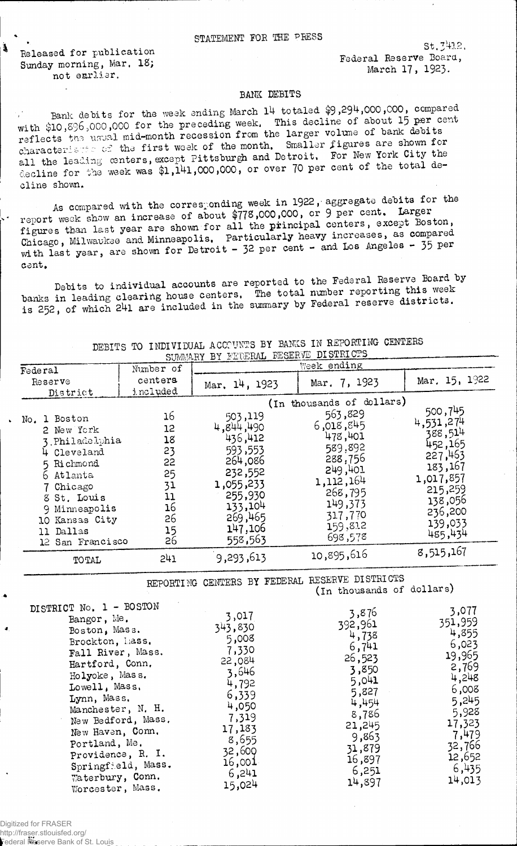Released for publication Sunday morning, Mar. 18; not enrisr.

 $\mathbf{a}$ 

 $St.7412.$ Federal Reserve Board, March 17, 1923.

## BANK DEBITS

Bank debits for the week ending March 14 totaled \$9,294,000,000, compared with \$10,896,000,000 for the preceding week. This decline of about 15 per cent reflects the usual mid-month recession from the larger volume of bank debits characteristic of the first week of the month. Smaller figures are shown for all the leading centers, except Pittsburgh and Detroit. For New York City the decline for the week was \$1,141,000,000, or over 70 per cent of the total decline shown.

As compared with the corresponding week in 1922, aggregate debits for the report week show an increase of about \$778,000,000, or 9 per cent. Larger figures than last year are shown for all the principal centers, except Boston, Chicago, Milwaukee and Minneapolis, Particularly heavy increases, as compared with last year, are shown for Detroit - 32 per cent - and Los Angeles - 35 per cent.

Debits to individual accounts are reported to the Federal Reserve Board by banks in leading clearing house centers. The total number reporting this week is 252, of which 241 are included in the summary by Federal reserve districts.

| SUMMARY BY FEDERAL RESERVE DISTRICTS                                                                                |                                              |                                                                                          |                                                                                                                                  |                                                                                                      |  |  |  |  |
|---------------------------------------------------------------------------------------------------------------------|----------------------------------------------|------------------------------------------------------------------------------------------|----------------------------------------------------------------------------------------------------------------------------------|------------------------------------------------------------------------------------------------------|--|--|--|--|
| Federal                                                                                                             | Number of                                    |                                                                                          | Week ending                                                                                                                      |                                                                                                      |  |  |  |  |
| Reserve<br>District                                                                                                 | centers<br>included                          | Mar, 14, 1923                                                                            | Mar. 7, 1923                                                                                                                     | Mar. 15, 1922                                                                                        |  |  |  |  |
| No. 1 Boston<br>2 New York<br>3. Philadelphia<br>4 Cleveland<br>5 Richmond<br>6 Atlanta<br>7 Chicago<br>8 St. Louis | 16<br>12<br>18<br>23<br>22<br>25<br>31<br>11 | 503,119<br>4,844,490<br>436,412<br>593,553<br>264,086<br>232,552<br>1,055,233<br>255,930 | (In thousands of dollars)<br>563,829<br>6,018,845<br>478,401<br>589,892<br>288,756<br>249,401<br>1,112,164<br>268,795<br>149,373 | 500,745<br>4,531,274<br>388,514<br>452,165<br>227,463<br>183, 167<br>1,017,857<br>215,259<br>138,056 |  |  |  |  |
| 9 Minneapolis<br>10 Kansas City<br>11 Dallas<br>12 San Francisco                                                    | 16<br>26<br>15<br>26                         | 133,104<br>269,465<br>147,106<br>558,563                                                 | 317,770<br>159,812<br>698,578                                                                                                    | 236,200<br>139,033<br>485,434                                                                        |  |  |  |  |
| TOTAL                                                                                                               | 241                                          | 9,293,613                                                                                | 10,895,616                                                                                                                       | 8,515,167                                                                                            |  |  |  |  |
|                                                                                                                     |                                              |                                                                                          | REPORTING CENTERS BY FEDERAL RESERVE DISTRICTS<br>(In thousands of dollars)                                                      |                                                                                                      |  |  |  |  |
| DISTRICT No. 1 - BOSTON<br>Bangor, Me.<br>Boston, Mass.<br>Brockton, hass.<br>Fall River, Mass.                     |                                              | 3,017<br>343,830<br>5,008<br>7,330<br>22.081                                             | 3,876<br>392,961<br>4,738<br>6,741<br>26.523                                                                                     | 3,077<br>351,959<br>4,855<br>6,023<br>19,965                                                         |  |  |  |  |

22,084

3,646

4,792

6,339

4,050

7,319

 $17,183$ 

 $0,655$ <br>
32,600<br>
16,001<br>
6,241<br>
15

 $26,523$ 

3,850

 $5,041$ 

4,454

8,786

21,245

9,863

31,879

 $16,897$ <br>6,251<br>14,897

5,827

2,769

4,248

6,008

5,245

5,928

17,323

7,479

32,766

-12,652 6,435

14,013

DEBITS TO INDIVIDUAL ACCOUNTS BY BANKS IN REPORTING CENTERS

Digitized for FRASER http://fraser.stlouisfed.org/

Hartford, Conn.

Holyoke, Mass.<br>Lowell, Mass.<br>Lynn, Mass.

Portland, Me.

Manchester, N. H.

New Bedford, Mass.<br>New Haven, Conn.

Portland, Me.<br>Providence, R. I.<br>Springfield, Mass.<br>Weterbury Conn.

Waterbury, Conn.<br>Worcester, Mass.

Federal Reserve Bank of St. Louis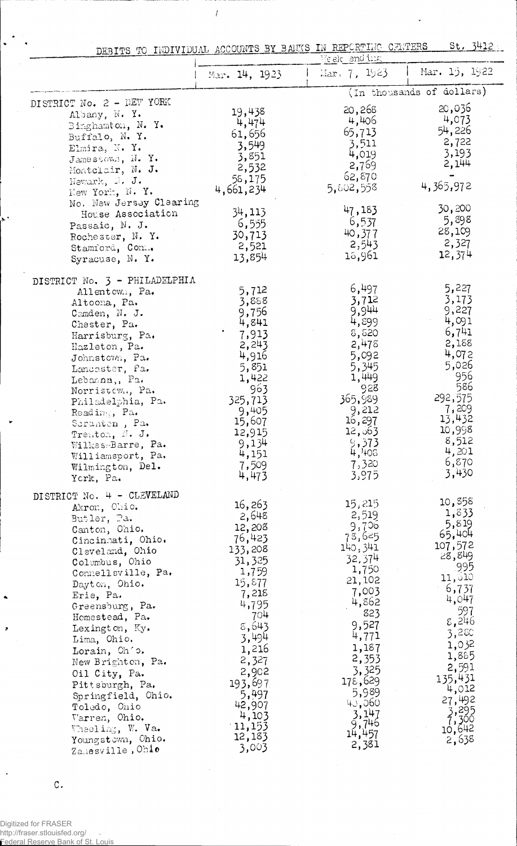|                                                                                                                                                                                                                                                                                                                                                                                                                                                              |                                                                                                                                                                                                                       | DEBITS TO INDIVIDUAL ACCOUNTS BY BANKS IN REPORTING CENTERS<br>Week and ing                                                                                                                                         | St. 3412                                                                                                                                                                                                           |
|--------------------------------------------------------------------------------------------------------------------------------------------------------------------------------------------------------------------------------------------------------------------------------------------------------------------------------------------------------------------------------------------------------------------------------------------------------------|-----------------------------------------------------------------------------------------------------------------------------------------------------------------------------------------------------------------------|---------------------------------------------------------------------------------------------------------------------------------------------------------------------------------------------------------------------|--------------------------------------------------------------------------------------------------------------------------------------------------------------------------------------------------------------------|
|                                                                                                                                                                                                                                                                                                                                                                                                                                                              | Mar. 14, 1923                                                                                                                                                                                                         | $\text{Mar. } 7, 1923$                                                                                                                                                                                              | $-Mar. 15, 1922$                                                                                                                                                                                                   |
|                                                                                                                                                                                                                                                                                                                                                                                                                                                              |                                                                                                                                                                                                                       |                                                                                                                                                                                                                     | (In thousands of dollars)                                                                                                                                                                                          |
| DISTRICT No. 2 - NEW YORK<br>Albany, N. Y.<br>Binghamton, N. Y.<br>Buffalo, N.Y.<br>Elmira, N.Y.<br>Jamestown, $N - Y$ .<br>Montelair, N. J.<br>Newark, M. J.<br>New York, N.Y.<br>No. New Jersey Clearing                                                                                                                                                                                                                                                   | 19,438<br>4,474<br>61,656<br>3,549<br>3,851<br>2,532<br>58,175<br>4,661,234                                                                                                                                           | 20,268<br>4,406<br>65,713<br>3,511<br>4,019<br>2,769<br>62,870<br>5,802,558                                                                                                                                         | 20,036<br>4,073<br>54,226<br>2,722<br>3,193<br>2,144<br>4,365,972<br>30,200                                                                                                                                        |
| House Association<br>Passaic, N. J.<br>Rochester, N. Y.<br>Stamford, Con<br>Syracuse, N. Y.                                                                                                                                                                                                                                                                                                                                                                  | 34,113<br>6,555<br>30,713<br>2,521<br>13,854                                                                                                                                                                          | 47,183<br>6,537<br>40,377<br>2,543<br>18,961                                                                                                                                                                        | 5,898<br>28,109<br>2,327<br>12,374                                                                                                                                                                                 |
| DISTRICT No. 3 - PHILADELPHIA<br>Allentown, Pa.<br>Altoona, Pa.<br>Camden, N. J.<br>Chester, Pa.<br>Harrisburg, Pa.<br>Hazleton, Pa.<br>Johnstown, Pa.<br>Lancaster, Pa.<br>Lebannn,, Pa.<br>Norristown, Pa.<br>Philadelphia, Pa.<br>Reading, Pa.<br>Seranten, Pa.<br>Trenton, N. J.<br>Wilkes-Barre, Pa.<br>Williamsport, Pa.<br>Wilmington, Del.<br>York, Pa.                                                                                              | 5,712<br>3,858<br>9,756<br>4,841<br>7,913<br>2,243<br>4,916<br>5,851<br>1,422<br>963<br>325,713<br>9,405<br>15,607<br>12,915<br>9,134<br>4,151<br>7,509<br>4,473                                                      | 6,497<br>3,712<br>9,944<br>4,899<br>8,520<br>2,478<br>5,092<br>5,345<br>1,449<br>928<br>365,989<br>9,212<br>16,297<br>12,063<br>9,373<br>4,408<br>7,320<br>3,975                                                    | 5,227<br>3,173<br>9,227<br>4,091<br>6,741<br>2,188<br>4,072<br>5,026<br>956<br>586<br>292,575<br>7,209<br>13,432<br>10,998<br>8,512<br>4,201<br>6,870<br>3,430                                                     |
| DISTRICT No. 4 - CLEVELAND<br>Akron, Ohio.<br>Butler, Pa.<br>Canton, Ohio.<br>Cincinnati, Ohio.<br>Cleveland, Ohio<br>Columbus, Ohio<br>Connellsville, Pa.<br>Dayton, Ohio.<br>Erie, Pa.<br>Greensburg, Pa.<br>Homestead, Pa.<br>Lexington, Ky.<br>Lima, Ohio.<br>Lorain, Ohio.<br>New Brighton, Pa.<br>Oil City, Pa.<br>Pittsburgh, Pa.<br>Springfield, Ohio.<br>Toledo, Onio<br>Varren, Ohio.<br>Wheeling, W. Va.<br>Youngstown, Ohio.<br>Zahesville, Ohio | 16,263<br>2,648<br>12,208<br>76,423<br>133,208<br>31,325<br>1,759<br>15,877<br>7,218<br>4,795<br>704<br>8,643<br>3,494<br>1,216<br>2,327<br>2,902<br>193,697<br>5,497<br>42,907<br>4,103<br>11,153<br>12,183<br>3,003 | 15,215<br>2,519<br>9,706<br>75,625<br>140,341<br>32,374<br>1,750<br>21,102<br>7,003<br>4,862<br>823<br>9,527<br>4,771<br>1,187<br>2,353<br>3,325<br>178,629<br>5,989<br>40,060<br>3,147<br>9,746<br>14,457<br>2,381 | 10,858<br>1,833<br>5,819<br>65,404<br>107,572<br>28,849<br>.995<br>11,610<br>6,737<br>4,047<br>597<br>8,246<br>3,280<br>1,032<br>1,885<br>2,591<br>135,431<br>4,012<br>27,492<br>3,295<br>7,300<br>10,642<br>2,638 |

 $\bar{t}$ 

 $\mathbf{C}$ .

t.

 $\ddot{\phantom{1}}$ 

 $\ddot{\phantom{0}}$ 

 $\ddot{\phantom{0}}$ 

 $\bullet$ 

 $\ddot{\phantom{1}}$ 

Digitized for FRASER<br>http://fraser.stlouisfed.org/<br>Federal Reserve Bank of St. Louis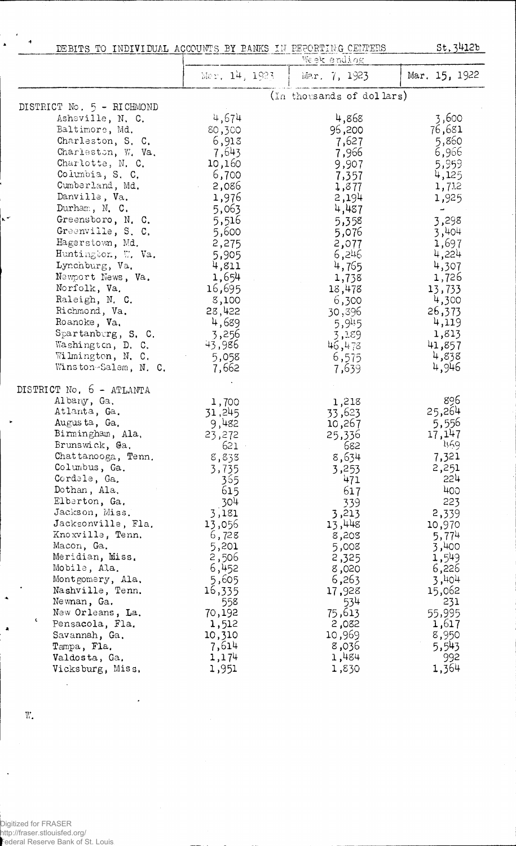| DEBITS TO INDIVIDUAL ACCOUNTS BY BANKS IN PEPORTING CENTERS                                                                                                                                                                                                                                                                                                                                                                                            |                                                                                                                                                                                                         | Week ending                                                                                                                                                                                              | St, 3412b                                                                                                                                                                                              |
|--------------------------------------------------------------------------------------------------------------------------------------------------------------------------------------------------------------------------------------------------------------------------------------------------------------------------------------------------------------------------------------------------------------------------------------------------------|---------------------------------------------------------------------------------------------------------------------------------------------------------------------------------------------------------|----------------------------------------------------------------------------------------------------------------------------------------------------------------------------------------------------------|--------------------------------------------------------------------------------------------------------------------------------------------------------------------------------------------------------|
|                                                                                                                                                                                                                                                                                                                                                                                                                                                        | Mar. 14, 1923.                                                                                                                                                                                          | Mar. 7, 1923                                                                                                                                                                                             | Mar. 15, 1922                                                                                                                                                                                          |
|                                                                                                                                                                                                                                                                                                                                                                                                                                                        |                                                                                                                                                                                                         | (In thousands of dollars)                                                                                                                                                                                |                                                                                                                                                                                                        |
| DISTRICT No. 5 - RICHMOND<br>Asheville, N. C.<br>Baltimore, Md.<br>Charleston, S. C.<br>Charleston, W. Va.<br>Charlotte, N. C.<br>Columbia, S. C.<br>Cumberland, Md.<br>Danville, Va.<br>Durham, N. C.<br>Greensboro, N. C.<br>Greenville, S. C.<br>Hagerstown, Md.<br>Huntington, W. Va.<br>Lynchburg, Va.<br>Newport News, Va.<br>Norfolk, Va.<br>Raleigh, N. C.<br>Richmond, Va.                                                                    | 4,674<br>80,300<br>6,913<br>7,643<br>10,160<br>6,700<br>$-2,086$<br>1,976<br>5,063<br>5,516<br>5,600<br>2,275<br>5,905<br>4,811<br>1,654<br>16,695<br>8,100<br>28,422                                   | 4,868<br>96,200<br>7,627<br>7,966<br>9,907<br>7,357<br>1,877<br>2,194<br>4,487<br>5,358<br>5,076<br>2,077<br>6,246<br>4,765<br>1,738<br>18,478<br>6,300<br>30,396                                        | 3,600<br>76,681<br>5,860<br>6,966<br>5,959<br>4,125<br>1,712<br>1,925<br>$\overline{\phantom{a}}$<br>3,298<br>3,404<br>1,697<br>4,224<br>4,307<br>1,726<br>13,733<br>4,300<br>26,373                   |
| Roanoke, Va.<br>Spartanburg, S. C.<br>Washington, D. C.<br>Wilmington, N. C.<br>Winston-Salem, N. C.                                                                                                                                                                                                                                                                                                                                                   | 4,689<br>3,256<br>43,986<br>5,058<br>7,662                                                                                                                                                              | 5,945<br>3,189<br>46,478<br>6,575<br>7,639                                                                                                                                                               | 4,119<br>1,813<br>41,857<br>4,838<br>4,946                                                                                                                                                             |
| DISTRICT No. 6 - ATLANTA<br>Albany, Ga.<br>Atlanta, Ga.<br>Augusta, Ga.<br>Birmingham, Ala.<br>Brunswick, Ga.<br>Chattanooga, Tenn.<br>Columbus, Ga.<br>Cordele, Ga.<br>Dothan, Ala,<br>Elberton, Ga.<br>Jackson, Miss.<br>Jacksonville, Fla.<br>Knoxville, Tenn.<br>Macon, Ga.<br>Meridian, Miss.<br>Mobile, Ala.<br>Montgomery, Ala.<br>Nashville, Tenn.<br>Newnan, Ga.<br>New Orleans, La.<br>t.<br>Pensacola, Fla.<br>Savannah, Ga.<br>Tampa, Fla. | 1,700<br>31,245<br>9,482<br>23,272<br>621<br>8,838<br>3,735<br>365<br>615<br>304<br>3,181<br>13,056<br>6,728<br>5,201<br>2,506<br>6,452<br>5,605<br>16,335<br>558<br>70,192<br>1,512<br>10,310<br>7,614 | 1,218<br>33,623<br>10,267<br>25,336<br>682<br>8,634<br>3,253<br>471<br>617<br>339<br>3,213<br>13,448<br>8,203<br>5,008<br>2,325<br>8,020<br>6,263<br>17,928<br>534<br>75,613<br>2,082<br>10,969<br>8,036 | 896<br>25,264<br>5,556<br>17,147<br>મદ્દવ<br>7,321<br>2,251<br>224<br>400<br>223<br>2,339<br>10,970<br>5,774<br>3,400<br>1,549<br>6,226<br>3,404<br>15,062<br>231<br>55,995<br>1,617<br>8,950<br>5,543 |

 $V$ aldosta, Ga,  $1,174$   $1,174$   $1,484$   $992$ Vicksburg, Miss, 1,951 1,830 1,364

 $\mathbf{W}_\bullet$ 

 $\ddot{\phantom{1}}$ 

 $\mathbf{r}$ 

 $\ddot{\phantom{1}}$ 

 $\ddot{\phantom{1}}$ 

**a** 

 $\ddot{\phantom{a}}$ 

Digitized for FRASER http://fraser.stlouisfed.org/ Federal Reserve Bank of St. Louis

 $\ddot{\phantom{a}}$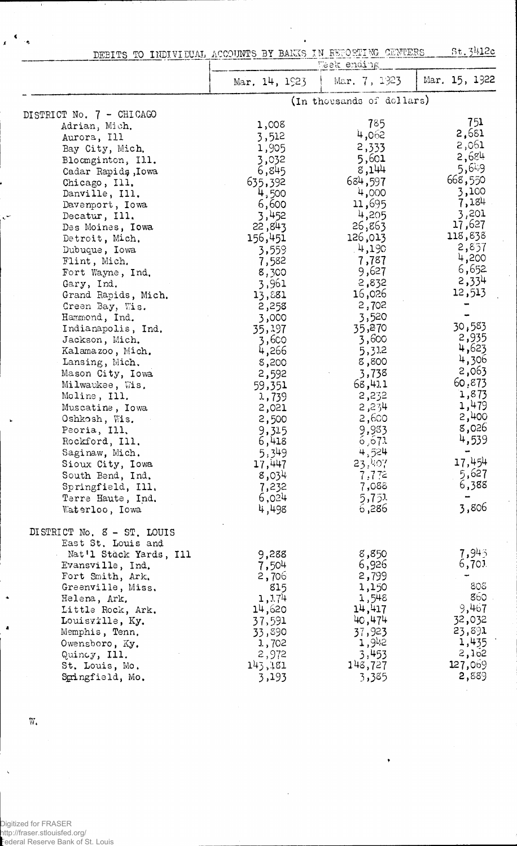| DEBITS TO INDIVIDUAL ACCOUNTS BY BANKS IN REPORTING CENTERS and the |  |  |  |  |  |  |  |  |  |  | St.3412c |  |  |
|---------------------------------------------------------------------|--|--|--|--|--|--|--|--|--|--|----------|--|--|
|---------------------------------------------------------------------|--|--|--|--|--|--|--|--|--|--|----------|--|--|

|                            | Week ending     |                           |               |  |
|----------------------------|-----------------|---------------------------|---------------|--|
|                            | Mar. $14, 1923$ | Mar. 7, 1923              | Mar. 15, 1922 |  |
|                            |                 | (In thousands of dollars) |               |  |
| DISTRICT No. 7 - CHICAGO   |                 |                           |               |  |
| Adrian, Mich.              | 1,008           | 785                       | 751           |  |
| Aurora, Ill                | 3,512           | 4,062                     | 2,681         |  |
| Bay City, Mich.            | 1,905           | 2,333                     | 2,061         |  |
| Bloomginton, Ill.          | 3,032           | 5,601                     | 2,684         |  |
| Cadar Rapids, Iowa         | 6,845           | 8,144                     | 5,649         |  |
| Chicago, Ill.              | 635,392         | 684,597                   | 668,550       |  |
| Danville, Ill.             | 4,500           | 4,000                     | 3,100         |  |
| Davenport, Iowa            | 6,600           | 11,695                    | 7,184         |  |
| Decatur, Ill.              | 3,452           | 4,205                     | 3,201         |  |
| Des Moines, Iowa           | 22,843          | 26,863                    | 17,627        |  |
| Detroit, Mich.             | 156,451         | 126,013                   | 118,838       |  |
| Dubuque, Iowa              | 3,559           | 4,190                     | 2,857         |  |
| Flint, Mich.               | 7,582           | 7,787                     | 4,200         |  |
| Fort Wayne, Ind.           | 8,300           | 9,627                     | 6,652         |  |
| Gary, Ind.                 | 3,961           | 2,832                     | 2,334         |  |
| Grand Rapids, Mich.        | 13,881          | 16,026                    | 12,513        |  |
| Green Bay, Wis.            | 2,258           | 2,702                     |               |  |
| Hammond, Ind.              | 3,000           | 3,520                     |               |  |
| Indianapolis, Ind.         | 35,197          | 35,270                    | 30,583        |  |
| Jackson, Mich.             | 3,600           | 3,600                     | 2,935         |  |
| Kalamazoo, Mich.           | 4,266           | 5,312                     | 4,623         |  |
| Lansing, Mich.             | 8,200           | 8,800                     | 4,306         |  |
| Mason City, Iowa           | 2,592           | 3,738                     | 2,063         |  |
| Milwaukee, Wis.            | 59,351          | 68,411                    | 60,873        |  |
| Moline, Ill.               | 1,739           | 2,232                     | 1,873         |  |
| Muscatine, Iowa            | 2,021           | 2,234                     | 1,479         |  |
| Oshkosh, Wis.              | 2,500           | 2,600                     | 2,400         |  |
| Peoria, Ill.               | 9,315           | 9,933                     | 8,026         |  |
| Rockford, Ill.             | 6,418           | 6,671                     | 4,539         |  |
| Saginaw, Mich.             | 5,349           | 4,524                     |               |  |
| Sioux City, Iowa           | 17,447          | 23,407                    | 17,454        |  |
| South Bend, Ind.           | 8,034           | 7,772                     | 5,627         |  |
| Springfield, Ill.          | 7,232           | 7,088                     | 6,388         |  |
| Terre Haute, Ind.          | 6,024           | 5,751                     |               |  |
| Waterloo, Iowa             | 4,498           | 6,286                     | 3,806         |  |
| DISTRICT No. 8 - ST. LOUIS |                 |                           |               |  |
| East St. Louis and         |                 |                           |               |  |
| Nat'l Stack Yards, Ill     | 9,288           | 8,850                     | 7,945         |  |
| Evansville, Ind.           | 7,504           | 6,926                     | 6,701         |  |
| Fort Smith, Ark.           | 2,706           | 2,799                     |               |  |
| Greenville, Miss.          | 815             | 1,150                     | 808           |  |
| Helena, Ark.               | 1,174           | 1,548                     | 860           |  |
| Little Rock, Ark.          | 14,620          | 14,417                    | 9,467         |  |
| Louisville, Ky.            | 37,591          | 40,474                    | 32,032        |  |
| Memphis, Tenn.             | 33,890          | 37,923                    | 23,891        |  |
| Owensboro, Ky.             | 1,702           | 1,942                     | 1,435         |  |
| Quincy, Ill.               | 2,972           | 3,453                     | 2,152         |  |
| St. Louis, Mo.             | 143,481         | 148,727                   | 127,069       |  |
| Spingfield, Mo.            | 3,193           | 3,385                     | 2,889         |  |
|                            |                 |                           |               |  |

*f*

 $\overline{W}_\bullet$ 

x

Digitized for FRASER http://fraser.stlouisfed.org/ Federal Reserve Bank of St. Louis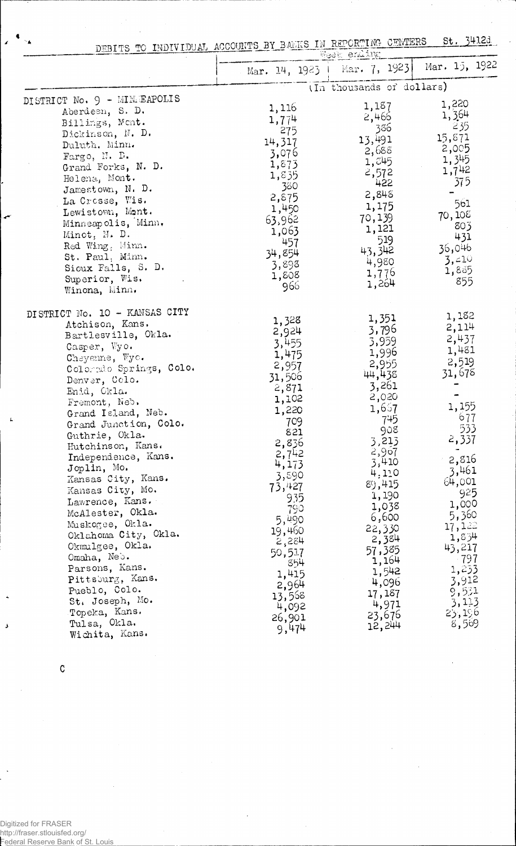DEBITS TO INDIVIDUAL ACCOUNTS BY BANKS IN REPORTING CENTERS St. 3412c

|                               |               | MGGE GIMTIE               |                 |
|-------------------------------|---------------|---------------------------|-----------------|
|                               | Mar. 14, 1923 | Mar. 7, 1923              | Mar. 15, 1922   |
|                               |               | (In thousands of dollars) |                 |
| DISTRICT No. 9 - MIMEAPOLIS   | 1,116         | 1,187                     | 1,220           |
| Aberdeen, S. D.               | 1,774         | 2,466                     | 1,364           |
| Billings, Mont.               | 275           | 386                       | 235             |
| Dickinson, N. D.              | 14,317        | 13,491                    | 15,871          |
| Duluth, Minn.                 |               | 2,688                     | 2,005           |
| Fargo, N. D.                  | 3,076         | 1,545                     | 1,345           |
| Grand Forks, N. D.            | 1,873         | 2,572                     | 1,742           |
| Helena, Mont.                 | 1,835         | 422                       | 375             |
| Jamestown, N. D.              | 380           | 2,848                     |                 |
| La Crosse, Wis.               | 2,875         | 1,175                     | 561             |
| Lewistown, Mont.              | 1,450         | 70,139                    | 70,108          |
| Minneapolis, Minn.            | 63,962        | 1,121                     | 803             |
| Minot, $M$ . D.               | 1,063         | 519                       | 431             |
| Red Wing, Minn.               | 457           | 43,342                    | 36,046          |
| St. Paul, Minn.               | 34,854        | 4,980                     | 3,410           |
| Sioux Falls, S. D.            | 3,898         | 1,776                     | 1,885           |
| Superior, Wis.                | 1,808         | 1,264                     | 855             |
| Winona, Winn,                 | 966           |                           |                 |
| DISTRICT No. 10 - KANSAS CITY |               |                           |                 |
| Atchison, Kans.               | 1,328         | 1,351                     | 1,182           |
| Bartlesville, Okla.           | 2,924         | 3,796                     | 2,114           |
| Casper, Wyo.                  | 3,455         | 3,959                     | 2,437           |
| Cheyenne, Wyc.                | 1,475         | 1,996                     | 1,481           |
| Colorado Springs, Colo.       | 2,957         | 2,955                     | 2,519           |
| Denver, Colo.                 | 31,506        | 44,438                    | 31,678          |
| Enid, Okla.                   | 2,871         | 3,261                     |                 |
| Fremont, Neb.                 | 1,102         | 2,020                     |                 |
| Grand Island, Neb.            | 1,220         | 1,657                     | 1,155           |
| Grand Junction, Colo.         | 709           | 745                       | 677             |
| Guthrie, Okla.                | 821           | 908                       | 533             |
| Hutchinson, Kans.             | 2,836         | 3,213                     | 2,337           |
| Independence, Kans.           | 2,742         | 2,907                     | 2,816           |
| Joplin, Mo.                   | 4,173         | 3,410                     |                 |
| Kansas City, Kans.            | 3,890         | 4,110                     | 3,461           |
| Kansas City, Mo.              | 73,427        | 89,415                    | 64,001          |
| Lawrence, Kans.               | 935           | 1,190                     | 925             |
| McAlester, Okla.              | 790           | 1,038                     | 1,000           |
| Muskogee, Okla.               | 5,490         | 6,600                     | 5,360           |
| Oklahoma City, Okla.          | 19,460        | 22,330                    | 17,122<br>1,834 |
| Okmalgee, Okla.               | 2,284         | 2,384                     | 43,217          |
| Omaha, Neb.                   | 50,517        | 57,385                    |                 |
| Parsons, Kans.                | 854           | 1,164                     | - 797<br>1,233  |
| Pittsburg, Kans.              | 1,415         | 1,542                     | 3,912           |
| Pueblo, Colo.                 | 2,964         | 4,096                     | 9,531           |
| St. Joseph, Mo.               | 13,568        | 17,187                    | 3,113           |
| Topeka, Kans.                 | 4,092         | 4,971                     | 25,196          |
| Tulsa, Okla.                  | 26,901        | 23,676                    | 8,569           |
| Wichita, Kans.                | 9,474         | 12,244                    |                 |

c

 $\mathbf{L}$ 

J

Digitized for FRASER http://fraser.stlouisfed.org/ Federal Reserve Bank of St. Louis